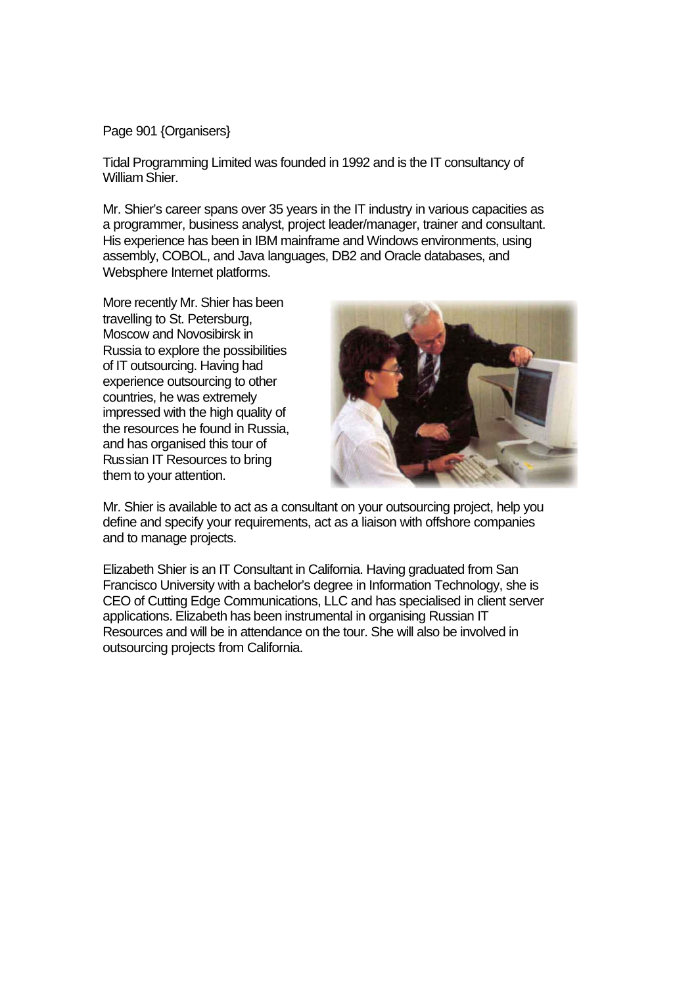Page 901 {Organisers}

Tidal Programming Limited was founded in 1992 and is the IT consultancy of William Shier.

Mr. Shier's career spans over 35 years in the IT industry in various capacities as a programmer, business analyst, project leader/manager, trainer and consultant. His experience has been in IBM mainframe and Windows environments, using assembly, COBOL, and Java languages, DB2 and Oracle databases, and Websphere Internet platforms.

More recently Mr. Shier has been travelling to St. Petersburg, Moscow and Novosibirsk in Russia to explore the possibilities of IT outsourcing. Having had experience outsourcing to other countries, he was extremely impressed with the high quality of the resources he found in Russia, and has organised this tour of Russian IT Resources to bring them to your attention.



Mr. Shier is available to act as a consultant on your outsourcing project, help you define and specify your requirements, act as a liaison with offshore companies and to manage projects.

Elizabeth Shier is an IT Consultant in California. Having graduated from San Francisco University with a bachelor's degree in Information Technology, she is CEO of Cutting Edge Communications, LLC and has specialised in client server applications. Elizabeth has been instrumental in organising Russian IT Resources and will be in attendance on the tour. She will also be involved in outsourcing projects from California.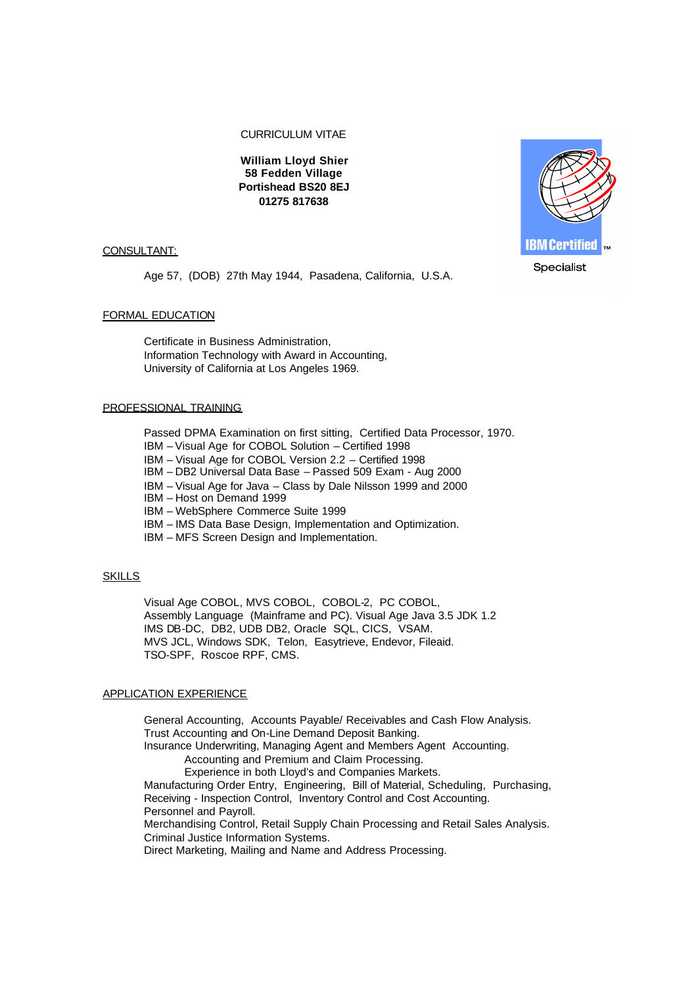CURRICULUM VITAE

**William Lloyd Shier 58 Fedden Village Portishead BS20 8EJ 01275 817638**

### CONSULTANT:

Age 57, (DOB) 27th May 1944, Pasadena, California, U.S.A.

## FORMAL EDUCATION

Certificate in Business Administration, Information Technology with Award in Accounting, University of California at Los Angeles 1969.

#### PROFESSIONAL TRAINING

Passed DPMA Examination on first sitting, Certified Data Processor, 1970. IBM – Visual Age for COBOL Solution – Certified 1998

IBM – Visual Age for COBOL Version 2.2 – Certified 1998

IBM – DB2 Universal Data Base – Passed 509 Exam - Aug 2000

IBM – Visual Age for Java – Class by Dale Nilsson 1999 and 2000

IBM – Host on Demand 1999

IBM – WebSphere Commerce Suite 1999

IBM – IMS Data Base Design, Implementation and Optimization.

IBM – MFS Screen Design and Implementation.

### **SKILLS**

Visual Age COBOL, MVS COBOL, COBOL-2, PC COBOL, Assembly Language (Mainframe and PC). Visual Age Java 3.5 JDK 1.2 IMS DB-DC, DB2, UDB DB2, Oracle SQL, CICS, VSAM. MVS JCL, Windows SDK, Telon, Easytrieve, Endevor, Fileaid. TSO-SPF, Roscoe RPF, CMS.

### APPLICATION EXPERIENCE

General Accounting, Accounts Payable/ Receivables and Cash Flow Analysis. Trust Accounting and On-Line Demand Deposit Banking. Insurance Underwriting, Managing Agent and Members Agent Accounting. Accounting and Premium and Claim Processing. Experience in both Lloyd's and Companies Markets. Manufacturing Order Entry, Engineering, Bill of Material, Scheduling, Purchasing, Receiving - Inspection Control, Inventory Control and Cost Accounting. Personnel and Payroll. Merchandising Control, Retail Supply Chain Processing and Retail Sales Analysis. Criminal Justice Information Systems. Direct Marketing, Mailing and Name and Address Processing.

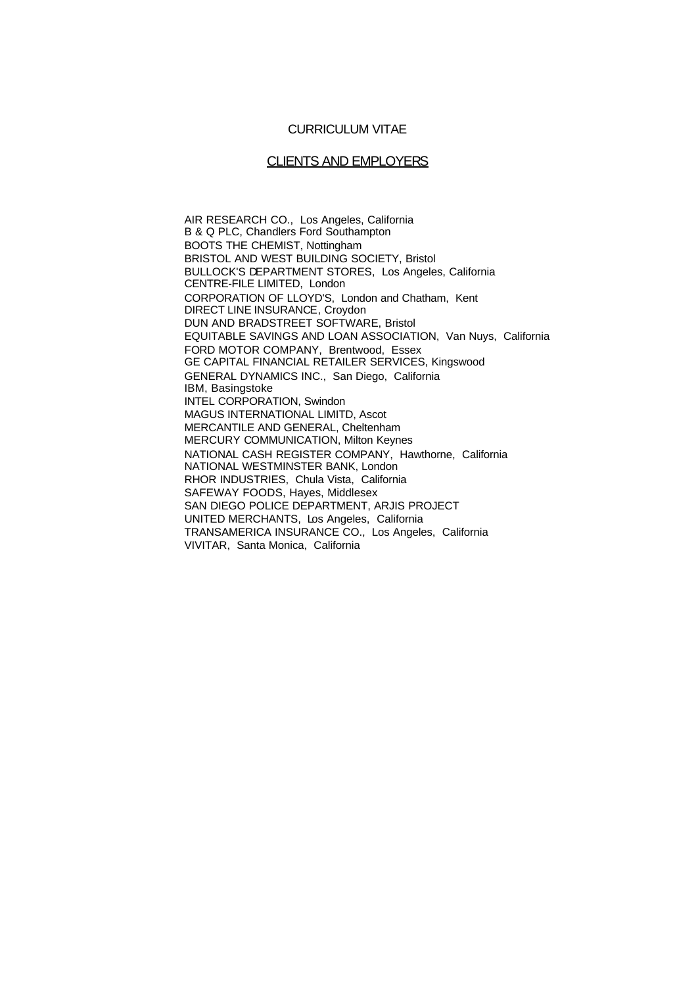# CURRICULUM VITAE

## CLIENTS AND EMPLOYERS

AIR RESEARCH CO., Los Angeles, California B & Q PLC, Chandlers Ford Southampton BOOTS THE CHEMIST, Nottingham BRISTOL AND WEST BUILDING SOCIETY, Bristol BULLOCK'S DEPARTMENT STORES, Los Angeles, California CENTRE-FILE LIMITED, London CORPORATION OF LLOYD'S, London and Chatham, Kent DIRECT LINE INSURANCE, Croydon DUN AND BRADSTREET SOFTWARE, Bristol EQUITABLE SAVINGS AND LOAN ASSOCIATION, Van Nuys, California FORD MOTOR COMPANY, Brentwood, Essex GE CAPITAL FINANCIAL RETAILER SERVICES, Kingswood GENERAL DYNAMICS INC., San Diego, California IBM, Basingstoke INTEL CORPORATION, Swindon MAGUS INTERNATIONAL LIMITD, Ascot MERCANTILE AND GENERAL, Cheltenham MERCURY COMMUNICATION, Milton Keynes NATIONAL CASH REGISTER COMPANY, Hawthorne, California NATIONAL WESTMINSTER BANK, London RHOR INDUSTRIES, Chula Vista, California SAFEWAY FOODS, Hayes, Middlesex SAN DIEGO POLICE DEPARTMENT, ARJIS PROJECT UNITED MERCHANTS, Los Angeles, California TRANSAMERICA INSURANCE CO., Los Angeles, California VIVITAR, Santa Monica, California